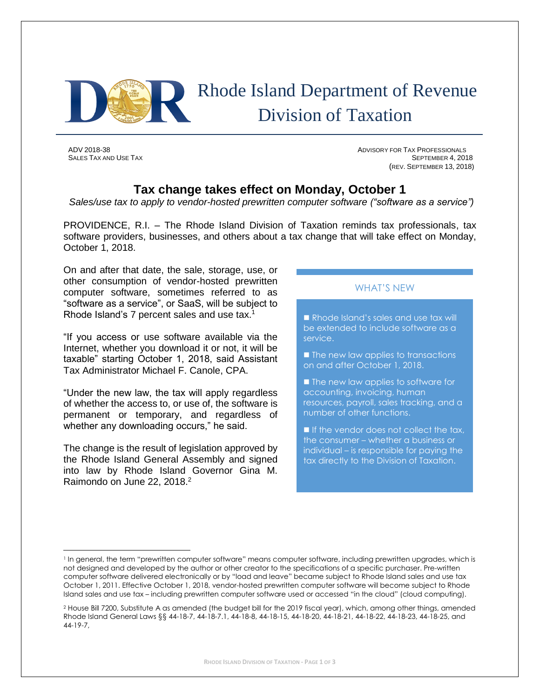

# Rhode Island Department of Revenue Division of Taxation

l

ADV 2018-38 ADVISORY FOR TAX PROFESSIONALS SALES TAX AND USE TAX SEPTEMBER 4, 2018 (REV. SEPTEMBER 13, 2018)

# **Tax change takes effect on Monday, October 1**

*Sales/use tax to apply to vendor-hosted prewritten computer software ("software as a service")*

PROVIDENCE, R.I. – The Rhode Island Division of Taxation reminds tax professionals, tax software providers, businesses, and others about a tax change that will take effect on Monday, October 1, 2018.

On and after that date, the sale, storage, use, or other consumption of vendor-hosted prewritten computer software, sometimes referred to as "software as a service", or SaaS, will be subject to Rhode Island's 7 percent sales and use tax.<sup>1</sup>

"If you access or use software available via the Internet, whether you download it or not, it will be taxable" starting October 1, 2018, said Assistant Tax Administrator Michael F. Canole, CPA.

"Under the new law, the tax will apply regardless of whether the access to, or use of, the software is permanent or temporary, and regardless of whether any downloading occurs," he said.

The change is the result of legislation approved by the Rhode Island General Assembly and signed into law by Rhode Island Governor Gina M. Raimondo on June 22, 2018.<sup>2</sup>

## WHAT'S NEW

Rhode Island's sales and use tax will be extended to include software as a service.

 $\blacksquare$  The new law applies to transactions on and after October 1, 2018.

**The new law applies to software for** accounting, invoicing, human resources, payroll, sales tracking, and a number of other functions.

If the vendor does not collect the tax, the consumer – whether a business or individual – is responsible for paying the tax directly to the Division of Taxation.

<sup>&</sup>lt;sup>1</sup> In general, the term "prewritten computer software" means computer software, including prewritten upgrades, which is not designed and developed by the author or other creator to the specifications of a specific purchaser. Pre-written computer software delivered electronically or by "load and leave" became subject to Rhode Island sales and use tax October 1, 2011. Effective October 1, 2018, vendor-hosted prewritten computer software will become subject to Rhode Island sales and use tax – including prewritten computer software used or accessed "in the cloud" (cloud computing).

<sup>2</sup> House Bill 7200, Substitute A as amended (the budget bill for the 2019 fiscal year), which, among other things, amended Rhode Island General Laws §§ 44-18-7, 44-18-7.1, 44-18-8, 44-18-15, 44-18-20, 44-18-21, 44-18-22, 44-18-23, 44-18-25, and 44-19-7,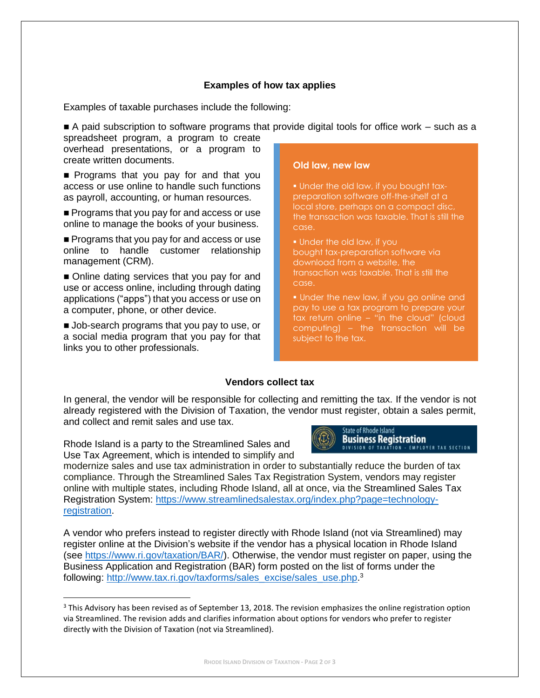### **Examples of how tax applies**

Examples of taxable purchases include the following:

 $\blacksquare$  A paid subscription to software programs that provide digital tools for office work  $-$  such as a spreadsheet program, a program to create

overhead presentations, or a program to create written documents.

Programs that you pay for and that you access or use online to handle such functions as payroll, accounting, or human resources.

**Programs that you pay for and access or use** online to manage the books of your business.

**Programs that you pay for and access or use** online to handle customer relationship management (CRM).

Online dating services that you pay for and use or access online, including through dating applications ("apps") that you access or use on a computer, phone, or other device.

**Job-search programs that you pay to use, or** a social media program that you pay for that links you to other professionals.

#### **Old law, new law**

**.** Under the old law, if you bought taxpreparation software off-the-shelf at a local store, perhaps on a compact disc, the transaction was taxable. That is still the case.

**.** Under the old law, if you bought tax-preparation software via download from a website, the transaction was taxable. That is still the case.

**.** Under the new law, if you go online and pay to use a tax program to prepare your tax return online – "in the cloud" (cloud computing) – the transaction will be subject to the tax.

#### **Vendors collect tax**

In general, the vendor will be responsible for collecting and remitting the tax. If the vendor is not already registered with the Division of Taxation, the vendor must register, obtain a sales permit, and collect and remit sales and use tax.

Rhode Island is a party to the Streamlined Sales and Use Tax Agreement, which is intended to simplify and

 $\overline{a}$ 



modernize sales and use tax administration in order to substantially reduce the burden of tax compliance. Through the Streamlined Sales Tax Registration System, vendors may register online with multiple states, including Rhode Island, all at once, via the Streamlined Sales Tax Registration System: [https://www.streamlinedsalestax.org/index.php?page=technology](https://www.streamlinedsalestax.org/index.php?page=technology-registration)[registration.](https://www.streamlinedsalestax.org/index.php?page=technology-registration)

A vendor who prefers instead to register directly with Rhode Island (not via Streamlined) may register online at the Division's website if the vendor has a physical location in Rhode Island (see [https://www.ri.gov/taxation/BAR/\)](https://www.ri.gov/taxation/BAR/). Otherwise, the vendor must register on paper, using the Business Application and Registration (BAR) form posted on the list of forms under the following: [http://www.tax.ri.gov/taxforms/sales\\_excise/sales\\_use.php.](http://www.tax.ri.gov/taxforms/sales_excise/sales_use.php)<sup>3</sup>

<sup>&</sup>lt;sup>3</sup> This Advisory has been revised as of September 13, 2018. The revision emphasizes the online registration option via Streamlined. The revision adds and clarifies information about options for vendors who prefer to register directly with the Division of Taxation (not via Streamlined).